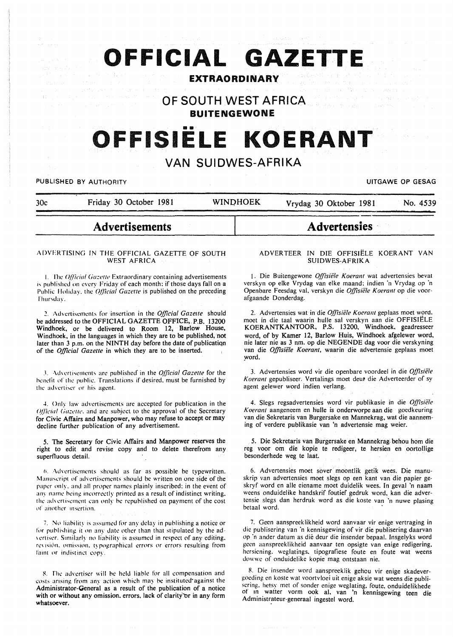# **OFFICIAL GAZETTE**

### **EXTRAORDINARY**

**OF SOUTH WEST AFRICA BUITENGEWONE** 

# OFFISIËLE KOERANT

## **VAN SUIDWES-AFRIKA**

PUBLISHED BY AUTHORITY **EXAGGED AS A SECULAR CONSTRUCTED AS A SECULAR CONSTRUCTION** 

| 30c | Friday 30 October 1981 | <b>WINDHOEK</b> | Vrydag 30 Oktober 1981 | No. 4539 |
|-----|------------------------|-----------------|------------------------|----------|

## **Advertisements**

#### ADVERTISING IN THE OFFICIAL GAZETTE OF SOUTH WEST AFRICA

1. The *Official Gazette* Extraordinary containing advertisements is published on every Friday of each month: if those days fall on a Public Holiday, the *Official Gazette* is published on the preceding rhursday.

~- Advertisements for insertion in the *Official Gazelle* should be addressed to the OFFICIAL GAZETTE OFFICE,. P.B. 13200 Windhoek, or be delivered to Room 12, Barlow House, Windhoek, in the languages in which they are to be published, not later than 3 p.m. on the NINTH day before the date of publicatiqn of the *Official Gazette* in which they are to be inserted.

.1. -\dvcrti~L·mcnt., arc published· in the *Official Gazette* for the benefit of the public. Translations if desired, must be furnished by the advertiser or his agent.

4. Only law advertisements arc accepted for publication in the *Official Gazette*, and are subject to the approval of the Secretary for Civic Affairs and Manpower, who may refuse to accept or may decline further publication of any advertisement.

5. The Secretary for Civic Affairs and Manpower reserves the right to edit and revise copy and to delete therefrom any superfluous detail.

 $6.$  Advertisements should as far as possible be typewritten. Manuscript of advertisements should be written on one side of the paper only, and all proper names plainly inscribed; in the event of any name being incorrectly printed as a result of indistinct writing. the advertisement can only be republished on payment of the cost of another insertion.

7. No liability is assumed for any delay in publishing a notice or for publishing it on any date other than that stipulated by the advertiser. Similarly no liability is assumed in respect of any editing. revision, omission, typographical errors or errors resulting from faint or indistinct copy.

8. The advertiser will be held liable for all compensation and costs arising from any action which may be instituted against the Administrator-General as a result of the publication of a notice with or without any omission, errors, lack of clarity or in any form whatsoever.

#### ADVERTEER IN DIE OFFISIELE KOERANT VAN SUIDWES-AFRIKA

**Advertensies** 

1. Die Buitengewone Offisiële Koerant wat advertensies bevat verskyn op elke Vrydag van elke maand: indien 'n Vrydag op 'n Openbare Feesdag val. verskyn die *Ojfisiiile Koerant* op die voor· afgaande Donderdag.

2. Advertensies wat in die *Ojfisiiile Koerant* geplaas moet word. moet in die taal waarin hulle sal verskyn aan die OFFISIELE KOERANTKANTOOR, P.S. 13200, Windhoek, geadresseer word, of by Kamer 12, Barlow Huis, Windhoek afgelewer word, nie later nie as 3 nm. op die NEGENDE dag voor die verskyning van die *Offisiële Koerant*, waarin die advertensie geplaas moet word.

3. Advertensies word vir die openbare voordeel in die *Offisiiile*  Koerant gepubliseer. Vertalings moet deur die Adverteerder of sy agent gelewer word indien verlang.

4. Slegs regsadvertensies word vir publikasie in die Offisiële *Koerant* aangeneem en hulle is onderworpe aan die goedkeuring van die Sekretaris van Burgersake en Mannekrag, wat die aanneming of verdere publikasie van 'n advertensie mag weier.

5. Die Sekretaris van Burgersake en Mannekrag. behou hom die reg voor om die kopie te redigeer, te hersien en oortollige besonderhede weg te laat.

6. Advertensies moet sover moontlik getik wees. Die manuskrip van advertensies moet slegs op een kant van die papier ge· skryf word en aile eiename moet duidelik wees. In geval 'n naam weens onduidelike handskrif foutief gedruk word, kan die advertensie slegs dan herdruk word as die koste van 'n nuwe plasing betaal word.

7. Geen aanspreeklikheid word aanvaar vir enige vertraging in die publisering van 'n kennisgewing of vir die publisering daarvan op ·n ander datum as die deur die insender bepaal. Insgelyks word geen aanspreeklikheid aanvaar ten opsigte van enige redigering. hersiening. weglatings. tipografiese foute en foute wat weens dowwe of onduidelike kopie mag ontstaan nie.

R. Die insender word aanspreeklik gehou vir enige skadevergoeding en koste wat voortvloei uit enige aksie wat weens die publisering. hetsy met of sonder enige weglating. foute, onduidelikhede of m watter vorm ook al, van 'n kennisgewing teen die Administrateur-generaal ingestel word.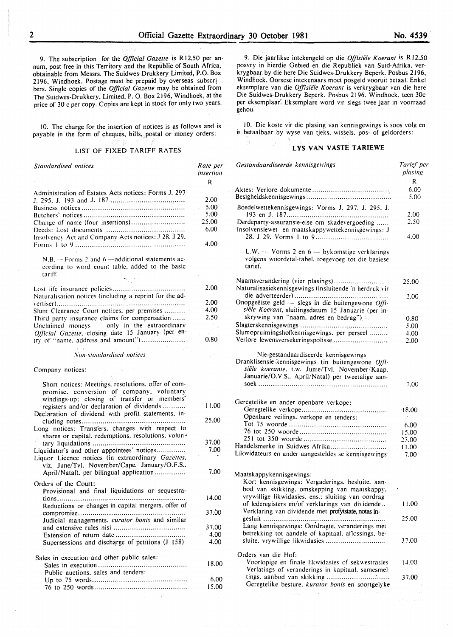9. The subscription for the *Official Gazette* is Rl2,50 per an· num, post free in this Territory and the Republic of South Africa, obtainable from Messrs. The Suidwes-Drukkery Limited, P.O. Box 2196, Windhoek. Postage must be prepaid by overseas subscr! bers. Single copies of the *Official Gazette* may be obtained from The Suidwes-Drukkery, Limited, P. 0. Box 2196, Windhoek, at the price of 30 c per copy. Copies are kept in stock for only two years.

10. The charge for the insertion of notices is as follows and is payable in the form of cheques, bills, postal or money orders:

#### LIST OF FIXED TARIFF RATES

| <b>Standardised</b> notices                                                                                                                                                                   | Rate per<br>insertion |
|-----------------------------------------------------------------------------------------------------------------------------------------------------------------------------------------------|-----------------------|
|                                                                                                                                                                                               | R                     |
| Administration of Estates Acts notices: Forms J. 297                                                                                                                                          |                       |
|                                                                                                                                                                                               | 2.00                  |
|                                                                                                                                                                                               | 5.00                  |
|                                                                                                                                                                                               | 5,00                  |
| Change of name (four insertions)                                                                                                                                                              | 25.00                 |
| Insolvency Act and Company Acts notices: J 28, J 29,                                                                                                                                          | 6.00                  |
|                                                                                                                                                                                               | 4.00                  |
| $N.B. - Forms 2$ and $6 - additional statements$ ac-<br>cording to word count table, added to the basic<br>tariff.                                                                            |                       |
|                                                                                                                                                                                               | 2.00                  |
| Naturalisation notices (including a reprint for the ad-                                                                                                                                       |                       |
|                                                                                                                                                                                               | 2.00                  |
| Slum Clearance Court notices, per premises                                                                                                                                                    | 4.00                  |
| Third party insurance claims for compensation                                                                                                                                                 | 2,50                  |
| Unclaimed moneys - only in the extraordinary                                                                                                                                                  |                       |
| Official Gazette, closing date 15 January (per en-                                                                                                                                            |                       |
| try of "name, address and amount")                                                                                                                                                            | 0.80                  |
| Non-standardised notices                                                                                                                                                                      |                       |
| Company notices:                                                                                                                                                                              |                       |
| Short notices: Meetings, resolutions, offer of com-<br>promise, conversion of company, voluntary<br>windings-up: closing of transfer or members'<br>registers and/or declaration of dividends | 11.00                 |
| Declaration of dividend with profit statements. in-                                                                                                                                           |                       |
| Long notices: Transfers, changes with respect to                                                                                                                                              | 25.00                 |
| shares or capital, redemptions, resolutions, volun-                                                                                                                                           | 37,00                 |
| Liquidator's and other appointees' notices                                                                                                                                                    | 7.00                  |
| Liquor Licence notices (in extraordinary Gazettes,<br>viz. June/Tvl. November/Cape. January/O.F.S                                                                                             |                       |
| April/Natal), per bilingual application                                                                                                                                                       | 7.00                  |
| Orders of the Court:<br>Provisional and final liquidations or sequestra-                                                                                                                      |                       |
| . <b>.</b>                                                                                                                                                                                    | 14.00                 |
| Reductions or changes in capital mergers, offer of                                                                                                                                            | 37,00                 |
| Judicial managements. curator bonis and similar                                                                                                                                               |                       |
|                                                                                                                                                                                               | 37,00                 |
|                                                                                                                                                                                               | 4,00                  |
| Supersessions and discharge of petitions (J 158)                                                                                                                                              | 4,00                  |
| Sales in execution and other public sales:                                                                                                                                                    |                       |
| Public auctions, sales and tenders:                                                                                                                                                           | 18,00                 |
|                                                                                                                                                                                               | 6.00                  |
|                                                                                                                                                                                               | 15,00                 |
| $\mathcal{A}=\{x_1,\ldots,x_n\}$ , where $\mathcal{A}=\{x_1,\ldots,x_n\}$ , $\mathcal{A}=\{x_1,\ldots,x_n\}$                                                                                  |                       |

9. Die jaarlikse intekengeld op die Offisiële Koerant is R12.50 posvry in hierdie Gebied en die Republiek van Suid-Afrika. ver· krygbaar by die here Die Suidwes· Drukkery Beperk. Posbus 2196, Windhoek. Oorsese intekenaars moet posgeld vooruit betaal. Enkel eksemplare van die *Offlsie'le Koerant* is verkrygbaar van die here Die Suidwes-Drukkery Beperk. Posbus 2196. Windhoek. teen 30c per eksemplaar: Eksemplare word vir slegs twee jaar in voorraad gehou.

10. Die koste vir die plasing van kennisgewings is soos volg en is betaalbaar by wyse van tjeks. wissels. pos- of geldorders:

#### **LYS VAN VASTE TARIEWE**

| Gestandaardiseerde kennisgewings                                                                              | Tarief per<br>plasing |
|---------------------------------------------------------------------------------------------------------------|-----------------------|
|                                                                                                               | R                     |
|                                                                                                               | 6.00                  |
|                                                                                                               | 5.00                  |
| Boedelwettekennisgewings: Vorms J. 297, J. 295, J.                                                            | 2.00                  |
| Derdeparty-assuransie-eise om skadevergoeding                                                                 | 2.50                  |
| Insolvensiewet- en maatskappywettekennisgewings: J                                                            | 4.00                  |
|                                                                                                               |                       |
| L.W. - Vorms 2 en 6 - bykomstige verklarings<br>volgens woordetal-tabel, toegevoeg tot die basiese<br>tarief. |                       |
| Naamsverandering (vier plasings)<br>Naturalisasiekennisgewings (insluitende 'n herdruk vir                    | 25.00                 |
|                                                                                                               | 2.00                  |
| Onopgeëiste geld - slegs in die buitengewone $Offi$ -<br>siële Koerant, sluitingsdatum 15 Januarie (per in-   |                       |
| skrywing van "naam, adres en bedrag")                                                                         | 0.80                  |
|                                                                                                               | 5.00                  |
| Slumopruimingshofkennisgewings. per perseel                                                                   | 4.00                  |
| Verlore lewensversekeringspolisse                                                                             | 2.00                  |
|                                                                                                               |                       |
| Nie-gestandaardiseerde kennisgewings<br>Dranklisensie-kennisgewings (in buitengewone Offi-                    |                       |
| siële koerante. t.w. Junie/Tvl. November/Kaap.                                                                |                       |
| Januarie/O.V.S., April/Natal) per tweetalige aan-                                                             |                       |
|                                                                                                               | 7.00                  |
|                                                                                                               |                       |
| Geregtelike en ander openbare verkope:                                                                        |                       |
|                                                                                                               | 18.00                 |
| Openbare veilings, verkope en tenders:                                                                        |                       |
|                                                                                                               | 6.00                  |
|                                                                                                               | 15.00                 |
|                                                                                                               | 23.00                 |
| Handelsmerke in Suidwes-Afrika                                                                                | 11.00                 |
| Likwidateurs en ander aangesteldes se kennisgewings                                                           | $7.00 -$              |
|                                                                                                               |                       |
| Maatskappykennisgewings:                                                                                      |                       |
| Kort kennisgewings: Vergaderings, besluite, aan-                                                              |                       |
| bod van skikking, omskepping van maatskappy,                                                                  |                       |
| vrywillige likwidasies, ens.: sluiting van oordrag-                                                           |                       |
| of lederegisters en/of verklarings van dividende                                                              | 11.00                 |
| Verklaring van dividende met profytstate, notas in-                                                           |                       |
|                                                                                                               | 25.00                 |
| Lang kennisgewings: Oordragte, veranderings met                                                               |                       |
| betrekking tot aandele of kapitaal, aflossings, be-                                                           |                       |
| sluite. vrywillige likwidasies                                                                                | 37.00                 |
| Orders van die Hof:                                                                                           |                       |
| Voorlopige en finale likwidasies of sekwestrasies                                                             | 14.00                 |
| Verlatings of veranderings in kapitaal, samesmel-                                                             |                       |
|                                                                                                               | 37.00                 |
| Geregtelike besture, kurator bonis en soortgelyke                                                             |                       |
| and the                                                                                                       |                       |

**No. 4539.**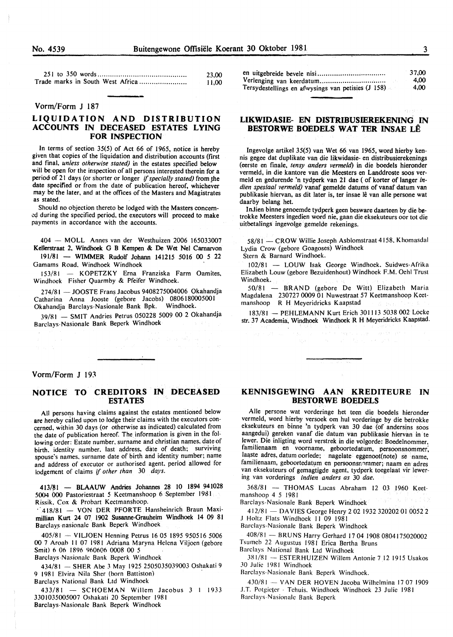| 23.00  |
|--------|
| -11.00 |

#### Vorm/Form J 187

#### LIQUIDATION AND DISTRIBUTION ACCOUNTS IN DECEASED ESTATES LYING FOR INSPECTION

In terms of section 35(5) of Act 66 of 1965, notice is hereby given that copies of the liquidation and distribution accounts (first and final, *unless otherwise stated)* in the estates specified below will be open for the inspection of all persons interested therein for a period of 21 days (or shorter or longer if specially stated) from the date specified or from the date of publication hereof, whichever may be the later, and at the offices of the Masters and Magistrates as stated.

Should no objection thereto be lodged with the Masters concem- .:q during the specified period, the executors will proceed to make payments in accordance with the accounts.

404 - MOLL Annes van der Westhuizen 2006 165033007 Kellerstraat 2, Windhoek G B Kempen & De Wet Nel Carnarvon 191/81 - WIMMER Rudolf Johann 141215 5016 00 *5* 22

Gamams Road. Windhoek Windhoek

153/81 - KOPETZKY Erna Franziska Farm Oamites, Windhoek Fisher Quarmby & Pfeifer Windhoek.

274/81 - JOOSTE Frans Jacobus 9408275004006 Okahandja Catharina Anna Jooste (gebore Jacobs) 0806180005001 Okahandja Barclays-Nasionale Bank Bpk. Windhoek.

39/81 - SMIT Andries Petrus 050228 5009 00 2 Okahandja Barclays-Nasionale Bank Beperk Windhoek

#### Vorm/Form J 193

#### NOTICE TO CREDITORS IN DECEASED ESTATES

All persons having claims against the estates mentioned below are hereby called upon to lodge their claims with the executors concerned, within 30 days (or otherwise as indicated) calculated from the date of publication hereof. The information is given in the following order: Estate number. surname and christian names, date of birth. identity number. last address. date of death; surviving spouse's names. surname date of birth and identity number; name and address of executor or authorised agent. period allowed for lodgement of claims if *other than* 30 *days.* 

413/81 - BLAAUW Andries Johannes 28 lO 1894 941028 5004 0oo Pastoriestraat *5* Keetmanshoop 6 September 1981 Rissik. Cox & Prohart Keetmanshoop.

·. 418/81 - VON DER PFORTE Hansheinrich Braun Maximillian Kurt 24 07 1902 Susanne-Grauheim Windhoek 14 09 81 Barclays-nasionale Bank Beperk Windhoek

405/81 - VILJOEN Henning Petrus 16 05 1895 950516 5006 00 7 Aroab 11 07 1981 Adriana Maryna Helena Viljoen (gebore Smit) 6 06 1896 960606 0008 00 5 Barclays Nasionale Bank Beperk Windhoek

434/81 - SHER Abe 3 May 1925 2505035039003 Oshakati 9 9 1981 Elvira Nila Sher (born Battiston)

Barclays National Bank Ltd Windhoek

 $433/81$  - SCHOEMAN Willem Jacobus 3 1 1933 3301035005007 Oshakati 20 September 1981 Barclays-Nasionalc Bank Bepcrk Windhoek

|                                                    | 37.00 |
|----------------------------------------------------|-------|
|                                                    | 4.00  |
| Tersydestellings en afwysings van petisies (J 158) | 4.00  |

#### LIKWIDASIE- EN DISTRIBUSffiREKENING IN BESTORWE BOEDELS WAT TER INSAE LE

lngevolge artikel 35(5) van Wet 66 van 1965, word hierby kennis gegee dat duplikate van die likwidasie- en distribusierekenings (eerste en finale, *tensy anders vermeld)* in die boedels hieronder vermeld, in die kantore van die Meesters en Landdroste soos vermeld en gedurende 'n tydperk van 21 dae ( of korter of Ianger *indien spesiaal vermeld)* vanaf gemelde datums of vanaf datum van publikasie hiervan, as dit later is, ter insae lê van alle persone wat daarby belang het.

lnJien binne genoemde tydperk geen besware daarteen by die betrokke Meesters ingedien word nie, gaan die eksekuteurs oor tot die uitbetalings ingevolge gemelde rekenings.

58/81 - CROW Willie Joseph Asblomstraat 4158. Khomasdal Lydia Crow (gebore Goagoses) Windhoek Stern & Barnard Windhoek.

102/81 - LOUW Isak George Windhoek. Suidwes-Afrika Elizabeth Louw (gebore Bezuidenhout) Windhoek F.M. Oehl Trust

Windhoek.

50/81 - BRAND (gebore De Witt) Elizabeth Maria Magdalena 230727 0009 01 Nuwestraat 57 Keetmanshoop Keetmanshoop R H Meyeridricks Kaapstad

183/81 - PEHLEMANN Kurt Erich 301 I 13 5038 002 Locke str. 37 Academia, Windhoek Windhoek R H Meyeridricks Kaapstad.

#### KENNISGEWING AAN KREDITEURE IN BESTORWE BOEDELS

Aile pcrsone wat vorderinge het teen die boedels hieronder vermeld, word hierby versoek om hul vorderinge by die betrokke eksekuteurs en binne 'n tydperk van 30 dae (of andersins soos aangedui) gereken vanaf die datum van publikasie hiervan in te fewer. Die inligting word verstrek in die volgorde: Boedelnommer, familienaam en voorname, geboortedatum, persoonsnommer: laaste adres, datum oorlede; nagelate eggenoot(note) se name, familienaam, geboortedatum en persoonsnommer; naam en adres van eksekuteurs of gemagtigde agent, tydpcrk toegelaat vir lewering van vorderings *indien anders as* 30 *dae.* 

368/81 - THOMAS Lucas Abraham 12 03 1960 Keetmanshoop 4 5 1981

Barclays-Nasionale Bank Beperk Windhoek

412/81 - DAVIES George Henry 2 02 1932 320202 01 0052 2 1 Holtz Flats Windhoek II 09 1981

Barclays-Nasionale Bank Beperk Windhoek

408/81 - BRUNS Harry Gerhard 17 04 1908 0804175020002 Tsumeb 22 Augustus 1981 Erica Bertha Bruns

Barclays National Bank Ltd Windhoek

JRI/81 - ESTERHUIZEN Willem Antonie 712 1915 Usakos 30 Julie 1981 Windhoek

Barclays-Nasionalc Bank Beperk Windhoek.

430/81 - VAN DER HOVEN Jacoba Wilhelmina 17 07 1909 J.T. Potgieter - Tehuis. Windhoek Windhoek 23 Julie 1981 Barclays-Nasionale Bank Beperk